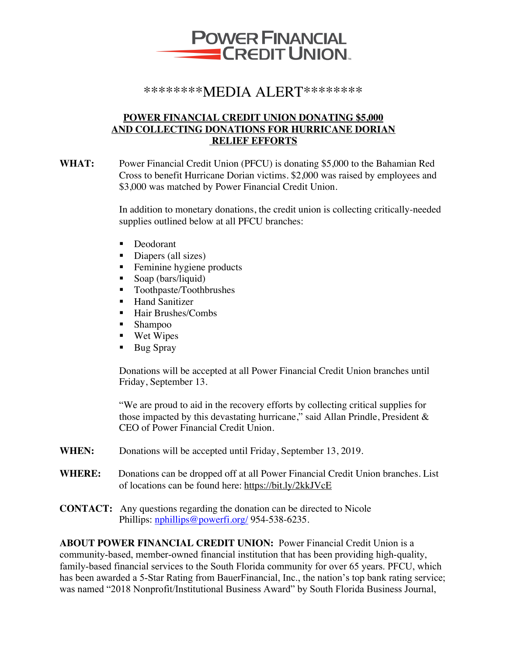

## \*\*\*\*\*\*\*\*MEDIA ALERT\*\*\*\*\*\*\*\*

## **POWER FINANCIAL CREDIT UNION DONATING \$5,000 AND COLLECTING DONATIONS FOR HURRICANE DORIAN RELIEF EFFORTS**

**WHAT:** Power Financial Credit Union (PFCU) is donating \$5,000 to the Bahamian Red Cross to benefit Hurricane Dorian victims. \$2,000 was raised by employees and \$3,000 was matched by Power Financial Credit Union.

> In addition to monetary donations, the credit union is collecting critically-needed supplies outlined below at all PFCU branches:

- Deodorant
- Diapers (all sizes)
- Feminine hygiene products
- Soap (bars/liquid)
- Toothpaste/Toothbrushes
- Hand Sanitizer
- Hair Brushes/Combs
- Shampoo
- Wet Wipes
- Bug Spray

Donations will be accepted at all Power Financial Credit Union branches until Friday, September 13.

"We are proud to aid in the recovery efforts by collecting critical supplies for those impacted by this devastating hurricane," said Allan Prindle, President & CEO of Power Financial Credit Union.

- WHEN: Donations will be accepted until Friday, September 13, 2019.
- **WHERE:** Donations can be dropped off at all Power Financial Credit Union branches. List of locations can be found here: https://bit.ly/2kkJVcE
- **CONTACT:** Any questions regarding the donation can be directed to Nicole Phillips: nphillips@powerfi.org/ 954-538-6235.

**ABOUT POWER FINANCIAL CREDIT UNION:** Power Financial Credit Union is a community-based, member-owned financial institution that has been providing high-quality, family-based financial services to the South Florida community for over 65 years. PFCU, which has been awarded a 5-Star Rating from BauerFinancial, Inc., the nation's top bank rating service; was named "2018 Nonprofit/Institutional Business Award" by South Florida Business Journal,